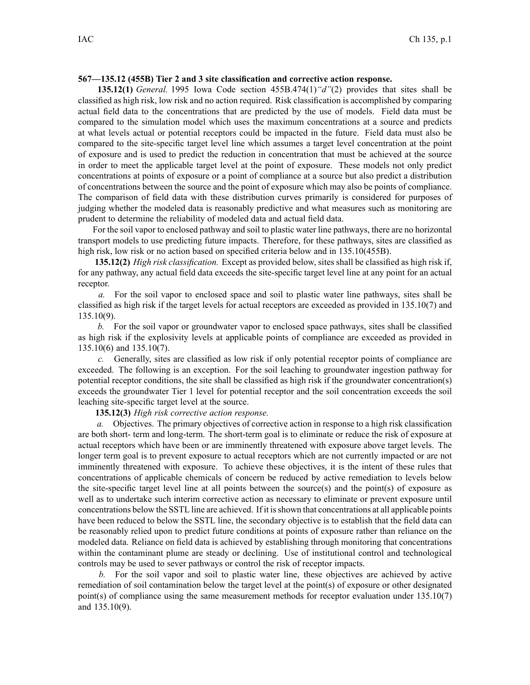## **567—135.12 (455B) Tier 2 and 3 site classification and corrective action response.**

**135.12(1)** *General.* 1995 Iowa Code section 455B.474(1)*"d"*(2) provides that sites shall be classified as high risk, low risk and no action required. Risk classification is accomplished by comparing actual field data to the concentrations that are predicted by the use of models. Field data must be compared to the simulation model which uses the maximum concentrations at <sup>a</sup> source and predicts at what levels actual or potential receptors could be impacted in the future. Field data must also be compared to the site-specific target level line which assumes <sup>a</sup> target level concentration at the point of exposure and is used to predict the reduction in concentration that must be achieved at the source in order to meet the applicable target level at the point of exposure. These models not only predict concentrations at points of exposure or <sup>a</sup> point of compliance at <sup>a</sup> source but also predict <sup>a</sup> distribution of concentrations between the source and the point of exposure which may also be points of compliance. The comparison of field data with these distribution curves primarily is considered for purposes of judging whether the modeled data is reasonably predictive and what measures such as monitoring are prudent to determine the reliability of modeled data and actual field data.

For the soil vapor to enclosed pathway and soil to plastic water line pathways, there are no horizontal transport models to use predicting future impacts. Therefore, for these pathways, sites are classified as high risk, low risk or no action based on specified criteria below and in 135.10(455B).

**135.12(2)** *High risk classification.* Except as provided below, sites shall be classified as high risk if, for any pathway, any actual field data exceeds the site-specific target level line at any point for an actual receptor.

*a.* For the soil vapor to enclosed space and soil to plastic water line pathways, sites shall be classified as high risk if the target levels for actual receptors are exceeded as provided in 135.10(7) and 135.10(9).

*b.* For the soil vapor or groundwater vapor to enclosed space pathways, sites shall be classified as high risk if the explosivity levels at applicable points of compliance are exceeded as provided in 135.10(6) and 135.10(7).

*c.* Generally, sites are classified as low risk if only potential receptor points of compliance are exceeded. The following is an exception. For the soil leaching to groundwater ingestion pathway for potential receptor conditions, the site shall be classified as high risk if the groundwater concentration(s) exceeds the groundwater Tier 1 level for potential receptor and the soil concentration exceeds the soil leaching site-specific target level at the source.

**135.12(3)** *High risk corrective action response.*

*a.* Objectives. The primary objectives of corrective action in response to <sup>a</sup> high risk classification are both short- term and long-term. The short-term goal is to eliminate or reduce the risk of exposure at actual receptors which have been or are imminently threatened with exposure above target levels. The longer term goal is to preven<sup>t</sup> exposure to actual receptors which are not currently impacted or are not imminently threatened with exposure. To achieve these objectives, it is the intent of these rules that concentrations of applicable chemicals of concern be reduced by active remediation to levels below the site-specific target level line at all points between the source(s) and the point(s) of exposure as well as to undertake such interim corrective action as necessary to eliminate or preven<sup>t</sup> exposure until concentrations below the SSTL line are achieved. If it isshown that concentrations at all applicable points have been reduced to below the SSTL line, the secondary objective is to establish that the field data can be reasonably relied upon to predict future conditions at points of exposure rather than reliance on the modeled data. Reliance on field data is achieved by establishing through monitoring that concentrations within the contaminant plume are steady or declining. Use of institutional control and technological controls may be used to sever pathways or control the risk of receptor impacts.

*b.* For the soil vapor and soil to plastic water line, these objectives are achieved by active remediation of soil contamination below the target level at the point(s) of exposure or other designated point(s) of compliance using the same measurement methods for receptor evaluation under  $135.10(7)$ and 135.10(9).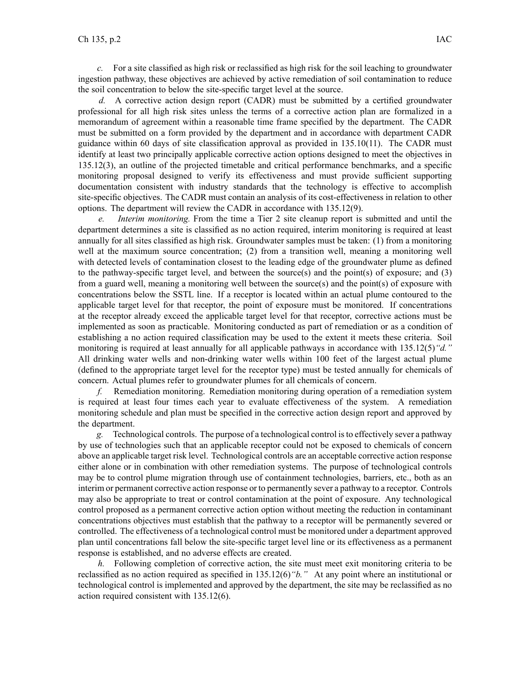*c.* For <sup>a</sup> site classified as high risk or reclassified as high risk for the soil leaching to groundwater ingestion pathway, these objectives are achieved by active remediation of soil contamination to reduce the soil concentration to below the site-specific target level at the source.

*d.* A corrective action design repor<sup>t</sup> (CADR) must be submitted by <sup>a</sup> certified groundwater professional for all high risk sites unless the terms of <sup>a</sup> corrective action plan are formalized in <sup>a</sup> memorandum of agreemen<sup>t</sup> within <sup>a</sup> reasonable time frame specified by the department. The CADR must be submitted on <sup>a</sup> form provided by the department and in accordance with department CADR guidance within 60 days of site classification approval as provided in 135.10(11). The CADR must identify at least two principally applicable corrective action options designed to meet the objectives in 135.12(3), an outline of the projected timetable and critical performance benchmarks, and <sup>a</sup> specific monitoring proposal designed to verify its effectiveness and must provide sufficient supporting documentation consistent with industry standards that the technology is effective to accomplish site-specific objectives. The CADR must contain an analysis of its cost-effectiveness in relation to other options. The department will review the CADR in accordance with 135.12(9).

*e. Interim monitoring.* From the time <sup>a</sup> Tier 2 site cleanup repor<sup>t</sup> is submitted and until the department determines <sup>a</sup> site is classified as no action required, interim monitoring is required at least annually for all sites classified as high risk. Groundwater samples must be taken: (1) from <sup>a</sup> monitoring well at the maximum source concentration; (2) from a transition well, meaning a monitoring well with detected levels of contamination closest to the leading edge of the groundwater plume as defined to the pathway-specific target level, and between the source(s) and the point(s) of exposure; and (3) from <sup>a</sup> guard well, meaning <sup>a</sup> monitoring well between the source(s) and the point(s) of exposure with concentrations below the SSTL line. If <sup>a</sup> receptor is located within an actual plume contoured to the applicable target level for that receptor, the point of exposure must be monitored. If concentrations at the receptor already exceed the applicable target level for that receptor, corrective actions must be implemented as soon as practicable. Monitoring conducted as par<sup>t</sup> of remediation or as <sup>a</sup> condition of establishing <sup>a</sup> no action required classification may be used to the extent it meets these criteria. Soil monitoring is required at least annually for all applicable pathways in accordance with 135.12(5)*"d."* All drinking water wells and non-drinking water wells within 100 feet of the largest actual plume (defined to the appropriate target level for the receptor type) must be tested annually for chemicals of concern. Actual plumes refer to groundwater plumes for all chemicals of concern.

*f.* Remediation monitoring. Remediation monitoring during operation of <sup>a</sup> remediation system is required at least four times each year to evaluate effectiveness of the system. A remediation monitoring schedule and plan must be specified in the corrective action design repor<sup>t</sup> and approved by the department.

*g.* Technological controls. The purpose of <sup>a</sup> technological control isto effectively sever <sup>a</sup> pathway by use of technologies such that an applicable receptor could not be exposed to chemicals of concern above an applicable target risk level. Technological controls are an acceptable corrective action response either alone or in combination with other remediation systems. The purpose of technological controls may be to control plume migration through use of containment technologies, barriers, etc., both as an interim or permanen<sup>t</sup> corrective action response or to permanently sever <sup>a</sup> pathway to <sup>a</sup> receptor. Controls may also be appropriate to treat or control contamination at the point of exposure. Any technological control proposed as <sup>a</sup> permanen<sup>t</sup> corrective action option without meeting the reduction in contaminant concentrations objectives must establish that the pathway to <sup>a</sup> receptor will be permanently severed or controlled. The effectiveness of <sup>a</sup> technological control must be monitored under <sup>a</sup> department approved plan until concentrations fall below the site-specific target level line or its effectiveness as <sup>a</sup> permanen<sup>t</sup> response is established, and no adverse effects are created.

*h.* Following completion of corrective action, the site must meet exit monitoring criteria to be reclassified as no action required as specified in 135.12(6)*"b."* At any point where an institutional or technological control is implemented and approved by the department, the site may be reclassified as no action required consistent with 135.12(6).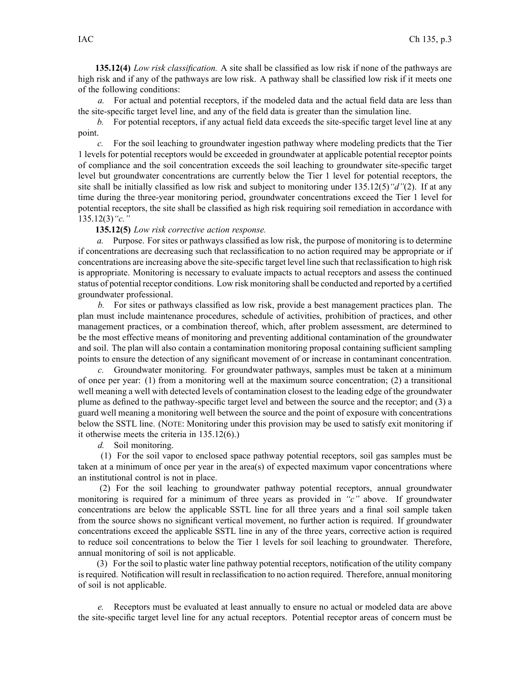**135.12(4)** *Low risk classification.* A site shall be classified as low risk if none of the pathways are high risk and if any of the pathways are low risk. A pathway shall be classified low risk if it meets one of the following conditions:

*a.* For actual and potential receptors, if the modeled data and the actual field data are less than the site-specific target level line, and any of the field data is greater than the simulation line.

*b.* For potential receptors, if any actual field data exceeds the site-specific target level line at any point.

*c.* For the soil leaching to groundwater ingestion pathway where modeling predicts that the Tier 1 levels for potential receptors would be exceeded in groundwater at applicable potential receptor points of compliance and the soil concentration exceeds the soil leaching to groundwater site-specific target level but groundwater concentrations are currently below the Tier 1 level for potential receptors, the site shall be initially classified as low risk and subject to monitoring under 135.12(5)*"d"*(2). If at any time during the three-year monitoring period, groundwater concentrations exceed the Tier 1 level for potential receptors, the site shall be classified as high risk requiring soil remediation in accordance with 135.12(3)*"c."*

**135.12(5)** *Low risk corrective action response.*

*a.* Purpose. For sites or pathways classified as low risk, the purpose of monitoring is to determine if concentrations are decreasing such that reclassification to no action required may be appropriate or if concentrations are increasing above the site-specific target level line such that reclassification to high risk is appropriate. Monitoring is necessary to evaluate impacts to actual receptors and assess the continued status of potential receptor conditions. Low risk monitoring shall be conducted and reported by <sup>a</sup> certified groundwater professional.

*b.* For sites or pathways classified as low risk, provide <sup>a</sup> best managemen<sup>t</sup> practices plan. The plan must include maintenance procedures, schedule of activities, prohibition of practices, and other managemen<sup>t</sup> practices, or <sup>a</sup> combination thereof, which, after problem assessment, are determined to be the most effective means of monitoring and preventing additional contamination of the groundwater and soil. The plan will also contain <sup>a</sup> contamination monitoring proposal containing sufficient sampling points to ensure the detection of any significant movement of or increase in contaminant concentration.

*c.* Groundwater monitoring. For groundwater pathways, samples must be taken at <sup>a</sup> minimum of once per year: (1) from <sup>a</sup> monitoring well at the maximum source concentration; (2) <sup>a</sup> transitional well meaning <sup>a</sup> well with detected levels of contamination closest to the leading edge of the groundwater plume as defined to the pathway-specific target level and between the source and the receptor; and (3) <sup>a</sup> guard well meaning <sup>a</sup> monitoring well between the source and the point of exposure with concentrations below the SSTL line. (NOTE: Monitoring under this provision may be used to satisfy exit monitoring if it otherwise meets the criteria in 135.12(6).)

*d.* Soil monitoring.

(1) For the soil vapor to enclosed space pathway potential receptors, soil gas samples must be taken at <sup>a</sup> minimum of once per year in the area(s) of expected maximum vapor concentrations where an institutional control is not in place.

(2) For the soil leaching to groundwater pathway potential receptors, annual groundwater monitoring is required for <sup>a</sup> minimum of three years as provided in *"c"* above. If groundwater concentrations are below the applicable SSTL line for all three years and <sup>a</sup> final soil sample taken from the source shows no significant vertical movement, no further action is required. If groundwater concentrations exceed the applicable SSTL line in any of the three years, corrective action is required to reduce soil concentrations to below the Tier 1 levels for soil leaching to groundwater. Therefore, annual monitoring of soil is not applicable.

(3) For the soil to plastic water line pathway potential receptors, notification of the utility company is required. Notification will result in reclassification to no action required. Therefore, annual monitoring of soil is not applicable.

*e.* Receptors must be evaluated at least annually to ensure no actual or modeled data are above the site-specific target level line for any actual receptors. Potential receptor areas of concern must be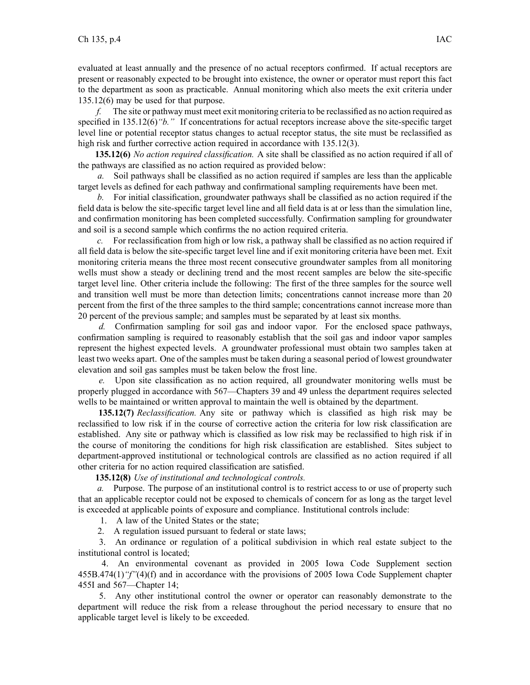evaluated at least annually and the presence of no actual receptors confirmed. If actual receptors are presen<sup>t</sup> or reasonably expected to be brought into existence, the owner or operator must repor<sup>t</sup> this fact to the department as soon as practicable. Annual monitoring which also meets the exit criteria under 135.12(6) may be used for that purpose.

*f.* The site or pathway must meet exit monitoring criteria to be reclassified as no action required as specified in 135.12(6) "b." If concentrations for actual receptors increase above the site-specific target level line or potential receptor status changes to actual receptor status, the site must be reclassified as high risk and further corrective action required in accordance with 135.12(3).

**135.12(6)** *No action required classification.* A site shall be classified as no action required if all of the pathways are classified as no action required as provided below:

*a.* Soil pathways shall be classified as no action required if samples are less than the applicable target levels as defined for each pathway and confirmational sampling requirements have been met.

*b.* For initial classification, groundwater pathways shall be classified as no action required if the field data is below the site-specific target level line and all field data is at or less than the simulation line, and confirmation monitoring has been completed successfully. Confirmation sampling for groundwater and soil is <sup>a</sup> second sample which confirms the no action required criteria.

*c.* For reclassification from high or low risk, <sup>a</sup> pathway shall be classified as no action required if all field data is below the site-specific target level line and if exit monitoring criteria have been met. Exit monitoring criteria means the three most recent consecutive groundwater samples from all monitoring wells must show <sup>a</sup> steady or declining trend and the most recent samples are below the site-specific target level line. Other criteria include the following: The first of the three samples for the source well and transition well must be more than detection limits; concentrations cannot increase more than 20 percen<sup>t</sup> from the first of the three samples to the third sample; concentrations cannot increase more than 20 percen<sup>t</sup> of the previous sample; and samples must be separated by at least six months.

*d.* Confirmation sampling for soil gas and indoor vapor. For the enclosed space pathways, confirmation sampling is required to reasonably establish that the soil gas and indoor vapor samples represen<sup>t</sup> the highest expected levels. A groundwater professional must obtain two samples taken at least two weeks apart. One of the samples must be taken during <sup>a</sup> seasonal period of lowest groundwater elevation and soil gas samples must be taken below the frost line.

*e.* Upon site classification as no action required, all groundwater monitoring wells must be properly plugged in accordance with 567—Chapters 39 and 49 unless the department requires selected wells to be maintained or written approval to maintain the well is obtained by the department.

**135.12(7)** *Reclassification.* Any site or pathway which is classified as high risk may be reclassified to low risk if in the course of corrective action the criteria for low risk classification are established. Any site or pathway which is classified as low risk may be reclassified to high risk if in the course of monitoring the conditions for high risk classification are established. Sites subject to department-approved institutional or technological controls are classified as no action required if all other criteria for no action required classification are satisfied.

**135.12(8)** *Use of institutional and technological controls.*

*a.* Purpose. The purpose of an institutional control is to restrict access to or use of property such that an applicable receptor could not be exposed to chemicals of concern for as long as the target level is exceeded at applicable points of exposure and compliance. Institutional controls include:

1. A law of the United States or the state;

2. A regulation issued pursuan<sup>t</sup> to federal or state laws;

3. An ordinance or regulation of <sup>a</sup> political subdivision in which real estate subject to the institutional control is located;

4. An environmental covenant as provided in 2005 Iowa Code Supplement section 455B.474(1)*"f"*(4)(f) and in accordance with the provisions of 2005 Iowa Code Supplement chapter 455I and 567—Chapter 14;

5. Any other institutional control the owner or operator can reasonably demonstrate to the department will reduce the risk from <sup>a</sup> release throughout the period necessary to ensure that no applicable target level is likely to be exceeded.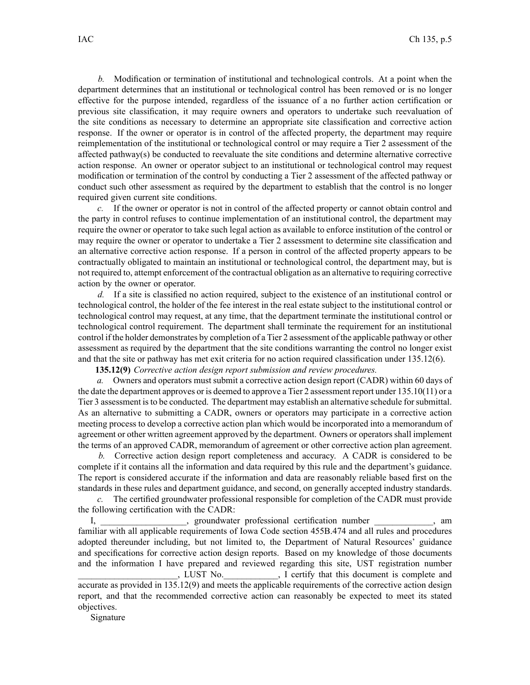*b.* Modification or termination of institutional and technological controls. At <sup>a</sup> point when the department determines that an institutional or technological control has been removed or is no longer effective for the purpose intended, regardless of the issuance of <sup>a</sup> no further action certification or previous site classification, it may require owners and operators to undertake such reevaluation of the site conditions as necessary to determine an appropriate site classification and corrective action response. If the owner or operator is in control of the affected property, the department may require reimplementation of the institutional or technological control or may require <sup>a</sup> Tier 2 assessment of the affected pathway(s) be conducted to reevaluate the site conditions and determine alternative corrective action response. An owner or operator subject to an institutional or technological control may reques<sup>t</sup> modification or termination of the control by conducting <sup>a</sup> Tier 2 assessment of the affected pathway or conduct such other assessment as required by the department to establish that the control is no longer required given current site conditions.

*c.* If the owner or operator is not in control of the affected property or cannot obtain control and the party in control refuses to continue implementation of an institutional control, the department may require the owner or operator to take such legal action as available to enforce institution of the control or may require the owner or operator to undertake <sup>a</sup> Tier 2 assessment to determine site classification and an alternative corrective action response. If <sup>a</sup> person in control of the affected property appears to be contractually obligated to maintain an institutional or technological control, the department may, but is not required to, attempt enforcement of the contractual obligation as an alternative to requiring corrective action by the owner or operator.

*d.* If <sup>a</sup> site is classified no action required, subject to the existence of an institutional control or technological control, the holder of the fee interest in the real estate subject to the institutional control or technological control may request, at any time, that the department terminate the institutional control or technological control requirement. The department shall terminate the requirement for an institutional control if the holder demonstrates by completion of <sup>a</sup> Tier 2 assessment of the applicable pathway or other assessment as required by the department that the site conditions warranting the control no longer exist and that the site or pathway has met exit criteria for no action required classification under 135.12(6).

**135.12(9)** *Corrective action design repor<sup>t</sup> submission and review procedures.*

*a.* Owners and operators must submit <sup>a</sup> corrective action design repor<sup>t</sup> (CADR) within 60 days of the date the department approves or is deemed to approve <sup>a</sup> Tier 2 assessment repor<sup>t</sup> under 135.10(11) or <sup>a</sup> Tier 3 assessment isto be conducted. The department may establish an alternative schedule forsubmittal. As an alternative to submitting <sup>a</sup> CADR, owners or operators may participate in <sup>a</sup> corrective action meeting process to develop <sup>a</sup> corrective action plan which would be incorporated into <sup>a</sup> memorandum of agreemen<sup>t</sup> or other written agreemen<sup>t</sup> approved by the department. Owners or operators shall implement the terms of an approved CADR, memorandum of agreemen<sup>t</sup> or other corrective action plan agreement.

*b.* Corrective action design repor<sup>t</sup> completeness and accuracy. A CADR is considered to be complete if it contains all the information and data required by this rule and the department's guidance. The repor<sup>t</sup> is considered accurate if the information and data are reasonably reliable based first on the standards in these rules and department guidance, and second, on generally accepted industry standards.

*c.* The certified groundwater professional responsible for completion of the CADR must provide the following certification with the CADR:

I, \_\_\_\_\_\_\_\_\_\_\_\_\_\_\_\_\_\_\_, groundwater professional certification number \_\_\_\_\_\_\_\_\_\_\_\_\_, am familiar with all applicable requirements of Iowa Code section 455B.474 and all rules and procedures adopted thereunder including, but not limited to, the Department of Natural Resources' guidance and specifications for corrective action design reports. Based on my knowledge of those documents and the information I have prepared and reviewed regarding this site, UST registration number \_\_\_\_\_\_\_\_\_\_\_\_\_\_\_\_\_\_\_\_\_\_, LUST No.\_\_\_\_\_\_\_\_\_\_\_\_, I certify that this document is complete and accurate as provided in 135.12(9) and meets the applicable requirements of the corrective action design report, and that the recommended corrective action can reasonably be expected to meet its stated objectives.

Signature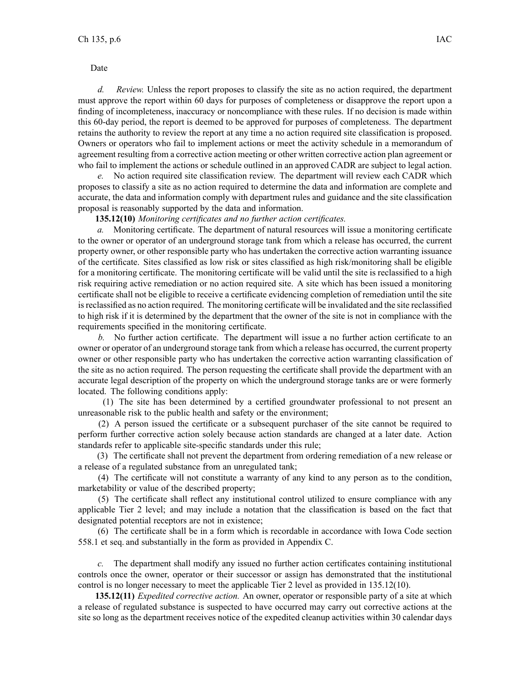Date

*d. Review.* Unless the repor<sup>t</sup> proposes to classify the site as no action required, the department must approve the repor<sup>t</sup> within 60 days for purposes of completeness or disapprove the repor<sup>t</sup> upon <sup>a</sup> finding of incompleteness, inaccuracy or noncompliance with these rules. If no decision is made within this 60-day period, the repor<sup>t</sup> is deemed to be approved for purposes of completeness. The department retains the authority to review the repor<sup>t</sup> at any time <sup>a</sup> no action required site classification is proposed. Owners or operators who fail to implement actions or meet the activity schedule in <sup>a</sup> memorandum of agreemen<sup>t</sup> resulting from <sup>a</sup> corrective action meeting or other written corrective action plan agreemen<sup>t</sup> or who fail to implement the actions or schedule outlined in an approved CADR are subject to legal action.

*e.* No action required site classification review. The department will review each CADR which proposes to classify <sup>a</sup> site as no action required to determine the data and information are complete and accurate, the data and information comply with department rules and guidance and the site classification proposal is reasonably supported by the data and information.

**135.12(10)** *Monitoring certificates and no further action certificates.*

*a.* Monitoring certificate. The department of natural resources will issue <sup>a</sup> monitoring certificate to the owner or operator of an underground storage tank from which <sup>a</sup> release has occurred, the current property owner, or other responsible party who has undertaken the corrective action warranting issuance of the certificate. Sites classified as low risk or sites classified as high risk/monitoring shall be eligible for <sup>a</sup> monitoring certificate. The monitoring certificate will be valid until the site is reclassified to <sup>a</sup> high risk requiring active remediation or no action required site. A site which has been issued <sup>a</sup> monitoring certificate shall not be eligible to receive <sup>a</sup> certificate evidencing completion of remediation until the site isreclassified as no action required. The monitoring certificate will be invalidated and the site reclassified to high risk if it is determined by the department that the owner of the site is not in compliance with the requirements specified in the monitoring certificate.

*b.* No further action certificate. The department will issue <sup>a</sup> no further action certificate to an owner or operator of an underground storage tank from which <sup>a</sup> release has occurred, the current property owner or other responsible party who has undertaken the corrective action warranting classification of the site as no action required. The person requesting the certificate shall provide the department with an accurate legal description of the property on which the underground storage tanks are or were formerly located. The following conditions apply:

(1) The site has been determined by <sup>a</sup> certified groundwater professional to not presen<sup>t</sup> an unreasonable risk to the public health and safety or the environment;

(2) A person issued the certificate or <sup>a</sup> subsequent purchaser of the site cannot be required to perform further corrective action solely because action standards are changed at <sup>a</sup> later date. Action standards refer to applicable site-specific standards under this rule;

(3) The certificate shall not preven<sup>t</sup> the department from ordering remediation of <sup>a</sup> new release or <sup>a</sup> release of <sup>a</sup> regulated substance from an unregulated tank;

(4) The certificate will not constitute <sup>a</sup> warranty of any kind to any person as to the condition, marketability or value of the described property;

(5) The certificate shall reflect any institutional control utilized to ensure compliance with any applicable Tier 2 level; and may include <sup>a</sup> notation that the classification is based on the fact that designated potential receptors are not in existence;

(6) The certificate shall be in <sup>a</sup> form which is recordable in accordance with Iowa Code section 558.1 et seq. and substantially in the form as provided in Appendix C.

*c.* The department shall modify any issued no further action certificates containing institutional controls once the owner, operator or their successor or assign has demonstrated that the institutional control is no longer necessary to meet the applicable Tier 2 level as provided in 135.12(10).

**135.12(11)** *Expedited corrective action.* An owner, operator or responsible party of <sup>a</sup> site at which <sup>a</sup> release of regulated substance is suspected to have occurred may carry out corrective actions at the site so long as the department receives notice of the expedited cleanup activities within 30 calendar days